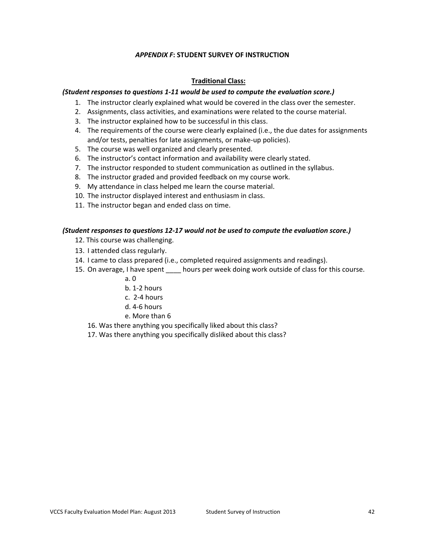### *APPENDIX F***: STUDENT SURVEY OF INSTRUCTION**

## **Traditional Class:**

### *(Student responses to questions 1-11 would be used to compute the evaluation score.)*

- 1. The instructor clearly explained what would be covered in the class over the semester.
- 2. Assignments, class activities, and examinations were related to the course material.
- 3. The instructor explained how to be successful in this class.
- 4. The requirements of the course were clearly explained (i.e., the due dates for assignments and/or tests, penalties for late assignments, or make-up policies).
- 5. The course was well organized and clearly presented.
- 6. The instructor's contact information and availability were clearly stated.
- 7. The instructor responded to student communication as outlined in the syllabus.
- 8. The instructor graded and provided feedback on my course work.
- 9. My attendance in class helped me learn the course material.
- 10. The instructor displayed interest and enthusiasm in class.
- 11. The instructor began and ended class on time.

### *(Student responses to questions 12-17 would not be used to compute the evaluation score.)*

- 12. This course was challenging.
- 13. I attended class regularly.
- 14. I came to class prepared (i.e., completed required assignments and readings).
- 15. On average, I have spent \_\_\_\_\_ hours per week doing work outside of class for this course.
	- a. 0
	- b. 1-2 hours
	- c. 2-4 hours
	- d. 4-6 hours
	- e. More than 6
	- 16. Was there anything you specifically liked about this class?
	- 17. Was there anything you specifically disliked about this class?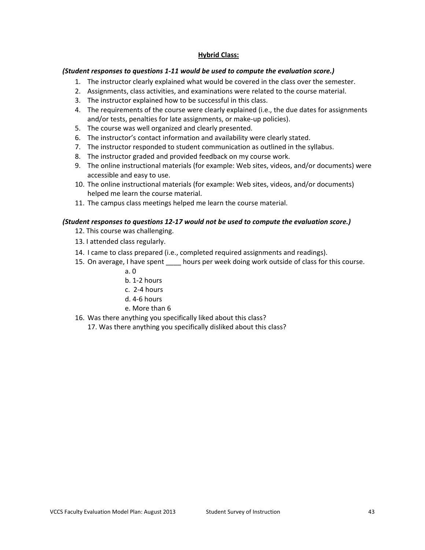# **Hybrid Class:**

#### *(Student responses to questions 1-11 would be used to compute the evaluation score.)*

- 1. The instructor clearly explained what would be covered in the class over the semester.
- 2. Assignments, class activities, and examinations were related to the course material.
- 3. The instructor explained how to be successful in this class.
- 4. The requirements of the course were clearly explained (i.e., the due dates for assignments and/or tests, penalties for late assignments, or make-up policies).
- 5. The course was well organized and clearly presented.
- 6. The instructor's contact information and availability were clearly stated.
- 7. The instructor responded to student communication as outlined in the syllabus.
- 8. The instructor graded and provided feedback on my course work.
- 9. The online instructional materials (for example: Web sites, videos, and/or documents) were accessible and easy to use.
- 10. The online instructional materials (for example: Web sites, videos, and/or documents) helped me learn the course material.
- 11. The campus class meetings helped me learn the course material.

### *(Student responses to questions 12-17 would not be used to compute the evaluation score.)*

- 12. This course was challenging.
- 13. I attended class regularly.
- 14. I came to class prepared (i.e., completed required assignments and readings).
- 15. On average, I have spent \_\_\_\_ hours per week doing work outside of class for this course.
	- a. 0
	- b. 1-2 hours
	- c. 2-4 hours
	- d. 4-6 hours
	- e. More than 6
- 16. Was there anything you specifically liked about this class?
	- 17. Was there anything you specifically disliked about this class?